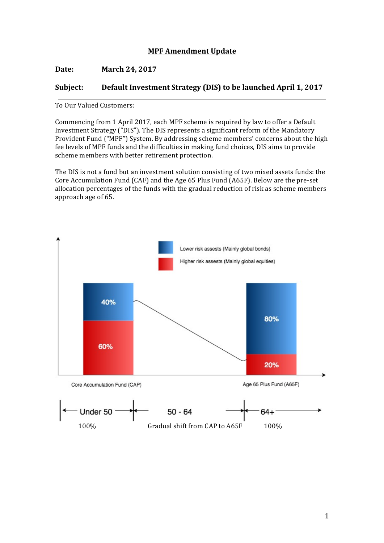# **MPF Amendment Update**

**Date: March** 24, 2017

## **Subject:** Default Investment Strategy (DIS) to be launched April 1, 2017

To Our Valued Customers:

Commencing from 1 April 2017, each MPF scheme is required by law to offer a Default Investment Strategy ("DIS"). The DIS represents a significant reform of the Mandatory Provident Fund ("MPF") System. By addressing scheme members' concerns about the high fee levels of MPF funds and the difficulties in making fund choices, DIS aims to provide scheme members with better retirement protection.

The DIS is not a fund but an investment solution consisting of two mixed assets funds: the Core Accumulation Fund (CAF) and the Age  $65$  Plus Fund (A65F). Below are the pre-set allocation percentages of the funds with the gradual reduction of risk as scheme members approach age of 65.